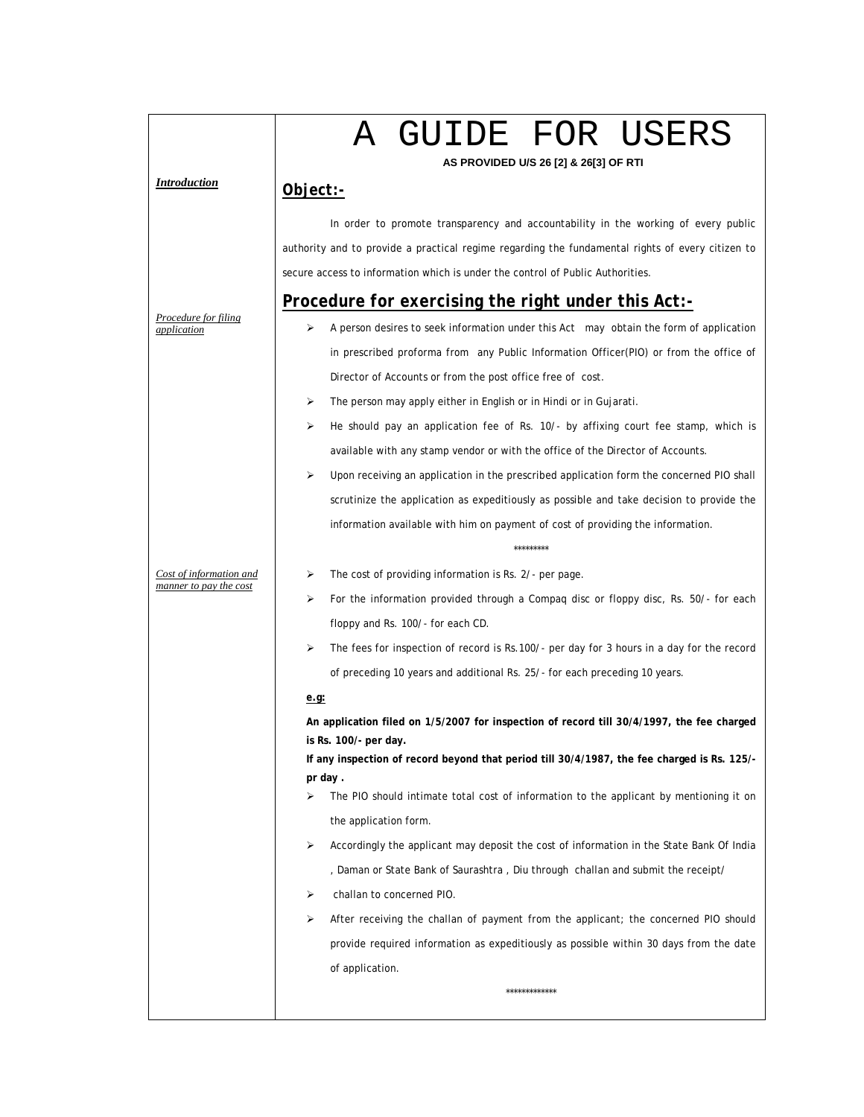|                                                   | A GUIDE FOR USERS<br>AS PROVIDED U/S 26 [2] & 26[3] OF RTI                                                                                                                                                                                                                                                                                                                                                                                                                                                                                                                                                                                                                                                                                                                                                                                                                                                                                                                                                                                                                                                                |
|---------------------------------------------------|---------------------------------------------------------------------------------------------------------------------------------------------------------------------------------------------------------------------------------------------------------------------------------------------------------------------------------------------------------------------------------------------------------------------------------------------------------------------------------------------------------------------------------------------------------------------------------------------------------------------------------------------------------------------------------------------------------------------------------------------------------------------------------------------------------------------------------------------------------------------------------------------------------------------------------------------------------------------------------------------------------------------------------------------------------------------------------------------------------------------------|
| Introduction                                      | Object:-                                                                                                                                                                                                                                                                                                                                                                                                                                                                                                                                                                                                                                                                                                                                                                                                                                                                                                                                                                                                                                                                                                                  |
| Procedure for filing<br>application               | In order to promote transparency and accountability in the working of every public<br>authority and to provide a practical regime regarding the fundamental rights of every citizen to<br>secure access to information which is under the control of Public Authorities.<br>Procedure for exercising the right under this Act:-<br>A person desires to seek information under this Act may obtain the form of application<br>in prescribed proforma from any Public Information Officer(PIO) or from the office of<br>Director of Accounts or from the post office free of cost.<br>The person may apply either in English or in Hindi or in Gujarati.<br>⋗<br>He should pay an application fee of Rs. 10/- by affixing court fee stamp, which is<br>⋗<br>available with any stamp vendor or with the office of the Director of Accounts.<br>⋗<br>Upon receiving an application in the prescribed application form the concerned PIO shall<br>scrutinize the application as expeditiously as possible and take decision to provide the<br>information available with him on payment of cost of providing the information. |
| Cost of information and<br>manner to pay the cost | *********<br>The cost of providing information is Rs. 2/- per page.<br>⋗<br>For the information provided through a Compaq disc or floppy disc, Rs. 50/- for each<br>⋗<br>floppy and Rs. 100/- for each CD.<br>The fees for inspection of record is Rs.100/- per day for 3 hours in a day for the record<br>⋗<br>of preceding 10 years and additional Rs. 25/- for each preceding 10 years.                                                                                                                                                                                                                                                                                                                                                                                                                                                                                                                                                                                                                                                                                                                                |
|                                                   | e.q.<br>An application filed on 1/5/2007 for inspection of record till 30/4/1997, the fee charged<br>is Rs. 100/- per day.<br>If any inspection of record beyond that period till 30/4/1987, the fee charged is Rs. 125/-<br>pr day.<br>The PIO should intimate total cost of information to the applicant by mentioning it on<br>⋗<br>the application form.<br>Accordingly the applicant may deposit the cost of information in the State Bank Of India<br>⋗<br>, Daman or State Bank of Saurashtra , Diu through  challan and submit the receipt/<br>challan to concerned PIO.<br>➤<br>➤<br>After receiving the challan of payment from the applicant; the concerned PIO should<br>provide required information as expeditiously as possible within 30 days from the date<br>of application.<br>*************                                                                                                                                                                                                                                                                                                           |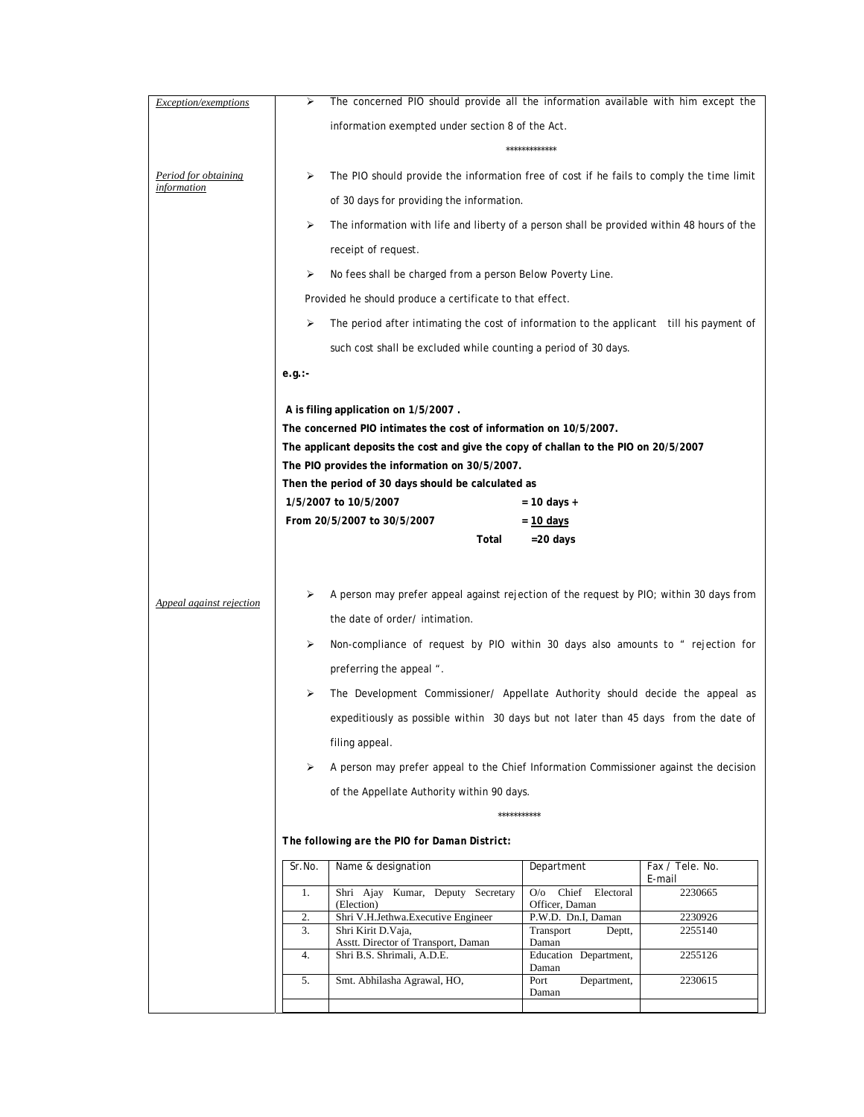| Exception/exemptions     | ⋗        | The concerned PIO should provide all the information available with him except the         |                                           |                    |
|--------------------------|----------|--------------------------------------------------------------------------------------------|-------------------------------------------|--------------------|
|                          |          | information exempted under section 8 of the Act.                                           |                                           |                    |
|                          |          |                                                                                            | *************                             |                    |
| Period for obtaining     | ⋗        | The PIO should provide the information free of cost if he fails to comply the time limit   |                                           |                    |
| <u>information</u>       |          | of 30 days for providing the information.                                                  |                                           |                    |
|                          | ⋗        | The information with life and liberty of a person shall be provided within 48 hours of the |                                           |                    |
|                          |          | receipt of request.                                                                        |                                           |                    |
|                          | ⋗        | No fees shall be charged from a person Below Poverty Line.                                 |                                           |                    |
|                          |          | Provided he should produce a certificate to that effect.                                   |                                           |                    |
|                          | ⋗        | The period after intimating the cost of information to the applicant till his payment of   |                                           |                    |
|                          |          | such cost shall be excluded while counting a period of 30 days.                            |                                           |                    |
|                          | e.g.:    |                                                                                            |                                           |                    |
|                          |          |                                                                                            |                                           |                    |
|                          |          | A is filing application on 1/5/2007.                                                       |                                           |                    |
|                          |          | The concerned PIO intimates the cost of information on 10/5/2007.                          |                                           |                    |
|                          |          | The applicant deposits the cost and give the copy of challan to the PIO on 20/5/2007       |                                           |                    |
|                          |          | The PIO provides the information on 30/5/2007.                                             |                                           |                    |
|                          |          | Then the period of 30 days should be calculated as                                         |                                           |                    |
|                          |          | 1/5/2007 to 10/5/2007                                                                      | = 10 days +                               |                    |
|                          |          | From 20/5/2007 to 30/5/2007                                                                | $= 10$ days                               |                    |
|                          |          | Total                                                                                      | $=20$ days                                |                    |
|                          |          |                                                                                            |                                           |                    |
| Appeal against rejection | ⋗        | A person may prefer appeal against rejection of the request by PIO; within 30 days from    |                                           |                    |
|                          |          | the date of order/intimation.                                                              |                                           |                    |
|                          | ⋗        | Non-compliance of request by PIO within 30 days also amounts to " rejection for            |                                           |                    |
|                          |          | preferring the appeal ".                                                                   |                                           |                    |
|                          | ⋗        | The Development Commissioner/ Appellate Authority should decide the appeal as              |                                           |                    |
|                          |          | expeditiously as possible within 30 days but not later than 45 days from the date of       |                                           |                    |
|                          |          | filing appeal.                                                                             |                                           |                    |
|                          | ⋗        | A person may prefer appeal to the Chief Information Commissioner against the decision      |                                           |                    |
|                          |          | of the Appellate Authority within 90 days.                                                 |                                           |                    |
|                          |          | ***********                                                                                |                                           |                    |
|                          |          | The following are the PIO for Daman District:                                              |                                           |                    |
|                          | Sr.No.   | Name & designation                                                                         | Department                                | Fax / Tele. No.    |
|                          | 1.       | Shri Ajay Kumar, Deputy Secretary                                                          | Chief Electoral<br>O/O                    | E-mail<br>2230665  |
|                          |          | (Election)                                                                                 | Officer, Daman                            |                    |
|                          | 2.<br>3. | Shri V.H.Jethwa.Executive Engineer<br>Shri Kirit D.Vaja,                                   | P.W.D. Dn.I, Daman<br>Transport<br>Deptt, | 2230926<br>2255140 |
|                          |          | Asstt. Director of Transport, Daman                                                        | Daman                                     |                    |
|                          | 4.       | Shri B.S. Shrimali, A.D.E.                                                                 | Education Department,<br>Daman            | 2255126            |
|                          | 5.       | Smt. Abhilasha Agrawal, HO,                                                                | Port<br>Department,<br>Daman              | 2230615            |
|                          |          |                                                                                            |                                           |                    |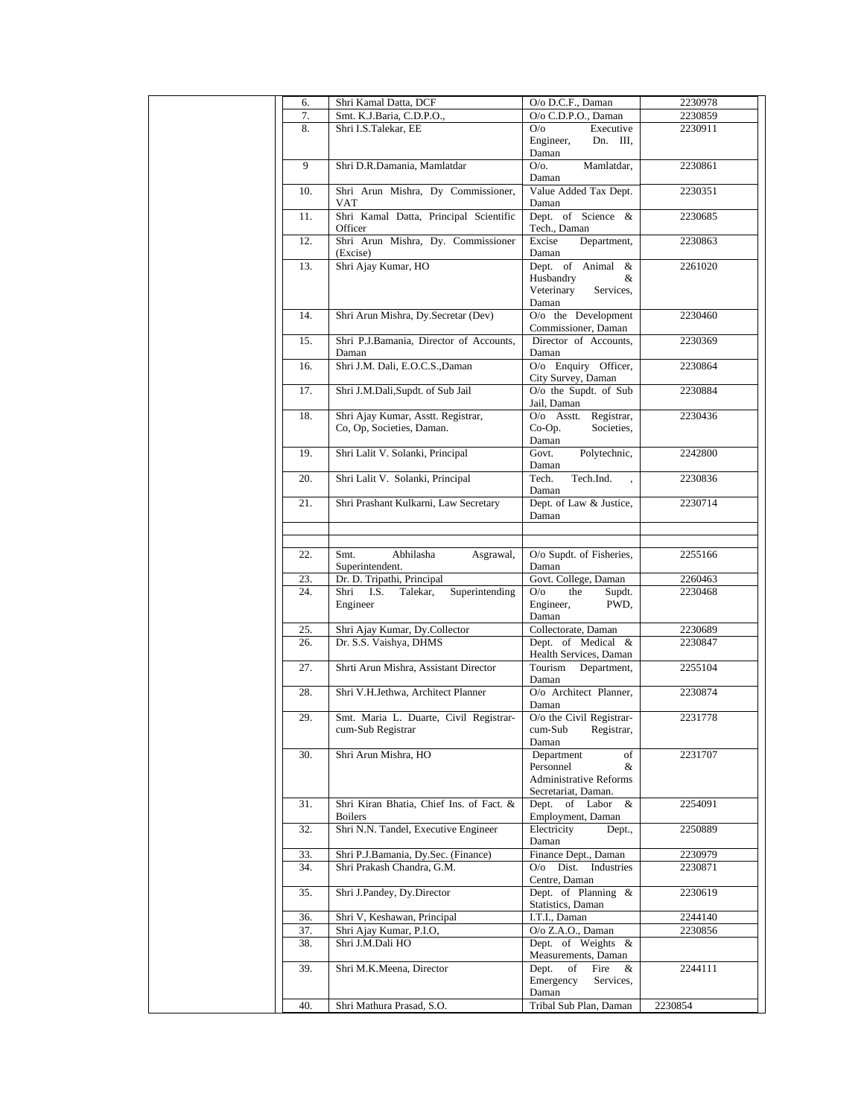| 6.         | Shri Kamal Datta, DCF                                      | O/o D.C.F., Daman                           | 2230978            |
|------------|------------------------------------------------------------|---------------------------------------------|--------------------|
| 7.         | Smt. K.J.Baria, C.D.P.O.,                                  | O/o C.D.P.O., Daman                         | 2230859            |
| 8.         | Shri I.S.Talekar, EE                                       | Executive<br>O/O                            | 2230911            |
|            |                                                            | Engineer,<br>Dn. III,                       |                    |
| 9          | Shri D.R.Damania, Mamlatdar                                | Daman<br>$O/O$ .<br>Mamlatdar,              | 2230861            |
|            |                                                            | Daman                                       |                    |
| 10.        | Shri Arun Mishra, Dy Commissioner,                         | Value Added Tax Dept.                       | 2230351            |
|            | VAT                                                        | Daman                                       |                    |
| 11.        | Shri Kamal Datta, Principal Scientific                     | Dept. of Science &                          | 2230685            |
|            | Officer                                                    | Tech., Daman                                |                    |
| 12.        | Shri Arun Mishra, Dy. Commissioner                         | Department,<br>Excise                       | 2230863            |
| 13.        | (Excise)<br>Shri Ajay Kumar, HO                            | Daman<br>Dept. of Animal &                  | 2261020            |
|            |                                                            | Husbandry<br>&                              |                    |
|            |                                                            | Veterinary<br>Services.                     |                    |
|            |                                                            | Daman                                       |                    |
| 14.        | Shri Arun Mishra, Dy.Secretar (Dev)                        | $O$ / $o$ the Development                   | 2230460            |
|            |                                                            | Commissioner, Daman                         |                    |
| 15.        | Shri P.J.Bamania, Director of Accounts,                    | Director of Accounts,<br>Daman              | 2230369            |
| 16.        | Daman<br>Shri J.M. Dali, E.O.C.S., Daman                   | O/o Enquiry Officer,                        | 2230864            |
|            |                                                            | City Survey, Daman                          |                    |
| 17.        | Shri J.M.Dali,Supdt. of Sub Jail                           | O/o the Supdt. of Sub                       | 2230884            |
|            |                                                            | Jail, Daman                                 |                    |
| 18.        | Shri Ajay Kumar, Asstt. Registrar,                         | O/o Asstt. Registrar,                       | 2230436            |
|            | Co, Op, Societies, Daman.                                  | Societies,<br>$Co-Op.$                      |                    |
| 19.        | Shri Lalit V. Solanki, Principal                           | Daman<br>Govt.<br>Polytechnic,              | 2242800            |
|            |                                                            | Daman                                       |                    |
| 20.        | Shri Lalit V. Solanki, Principal                           | Tech.<br>Tech.Ind.                          | 2230836            |
|            |                                                            | Daman                                       |                    |
| 21.        | Shri Prashant Kulkarni, Law Secretary                      | Dept. of Law & Justice,                     | 2230714            |
|            |                                                            | Daman                                       |                    |
|            |                                                            |                                             |                    |
| 22.        | Abhilasha<br>Smt.<br>Asgrawal,                             | O/o Supdt. of Fisheries,                    | 2255166            |
|            | Superintendent.                                            | Daman                                       |                    |
| 23.        | Dr. D. Tripathi, Principal                                 | Govt. College, Daman                        | 2260463            |
| 24.        | Shri<br>I.S. Talekar,<br>Superintending                    | O/O<br>the<br>Supdt.                        | 2230468            |
|            | Engineer                                                   | Engineer,<br>PWD,                           |                    |
|            |                                                            | Daman<br>Collectorate, Daman                |                    |
| 25.<br>26. | Shri Ajay Kumar, Dy.Collector<br>Dr. S.S. Vaishya, DHMS    | Dept. of Medical &                          | 2230689<br>2230847 |
|            |                                                            | Health Services, Daman                      |                    |
| 27.        | Shrti Arun Mishra, Assistant Director                      | Tourism<br>Department,                      | 2255104            |
|            |                                                            | Daman                                       |                    |
| 28.        | Shri V.H.Jethwa, Architect Planner                         | O/o Architect Planner,                      | 2230874            |
|            |                                                            | Daman                                       |                    |
| 29.        | Smt. Maria L. Duarte, Civil Registrar-                     | O/o the Civil Registrar-                    | 2231778            |
|            | cum-Sub Registrar                                          | cum-Sub<br>Registrar,<br>Daman              |                    |
| 30.        | Shri Arun Mishra, HO                                       | Department<br>of                            | 2231707            |
|            |                                                            | Personnel<br>&                              |                    |
|            |                                                            | <b>Administrative Reforms</b>               |                    |
|            |                                                            | Secretariat, Daman.                         |                    |
| 31.        | Shri Kiran Bhatia, Chief Ins. of Fact. &<br><b>Boilers</b> | Dept. of Labor<br>$\&$<br>Employment, Daman | 2254091            |
| 32.        | Shri N.N. Tandel, Executive Engineer                       | Electricity<br>Dept.,                       | 2250889            |
|            |                                                            | Daman                                       |                    |
| 33.        | Shri P.J.Bamania, Dy.Sec. (Finance)                        | Finance Dept., Daman                        | 2230979            |
| 34.        | Shri Prakash Chandra, G.M.                                 | O/o Dist. Industries                        | 2230871            |
|            |                                                            | Centre, Daman                               |                    |
| 35.        | Shri J.Pandey, Dy.Director                                 | Dept. of Planning &<br>Statistics, Daman    | 2230619            |
| 36.        | Shri V, Keshawan, Principal                                | I.T.I., Daman                               | 2244140            |
| 37.        | Shri Ajay Kumar, P.I.O,                                    | O/o Z.A.O., Daman                           | 2230856            |
| 38.        | Shri J.M.Dali HO                                           | Dept. of Weights &                          |                    |
|            |                                                            | Measurements, Daman                         |                    |
| 39.        | Shri M.K.Meena, Director                                   | Fire<br>Dept.<br>of<br>&                    | 2244111            |
|            |                                                            | Emergency<br>Services,                      |                    |
| 40.        | Shri Mathura Prasad, S.O.                                  | Daman<br>Tribal Sub Plan, Daman             | 2230854            |
|            |                                                            |                                             |                    |